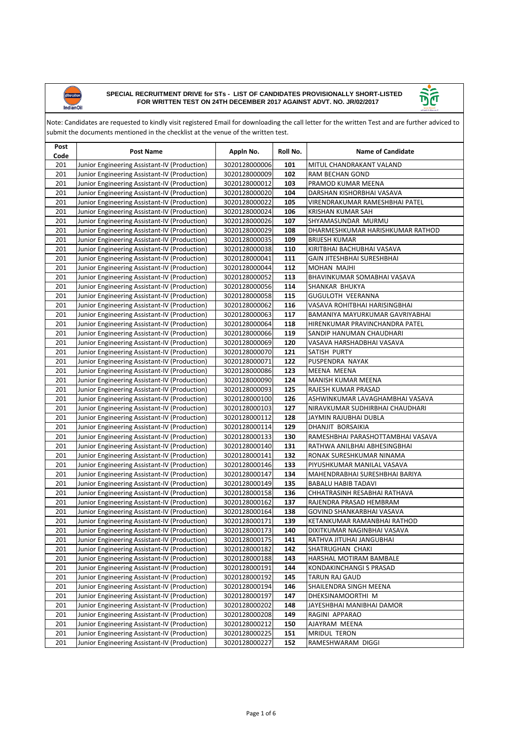



| Post<br>Code | <b>Post Name</b>                             | Appln No.     | Roll No. | <b>Name of Candidate</b>          |
|--------------|----------------------------------------------|---------------|----------|-----------------------------------|
| 201          | Junior Engineering Assistant-IV (Production) | 3020128000006 | 101      | MITUL CHANDRAKANT VALAND          |
| 201          | Junior Engineering Assistant-IV (Production) | 3020128000009 | 102      | RAM BECHAN GOND                   |
| 201          | Junior Engineering Assistant-IV (Production) | 3020128000012 | 103      | PRAMOD KUMAR MEENA                |
| 201          | Junior Engineering Assistant-IV (Production) | 3020128000020 | 104      | DARSHAN KISHORBHAI VASAVA         |
| 201          | Junior Engineering Assistant-IV (Production) | 3020128000022 | 105      | VIRENDRAKUMAR RAMESHBHAI PATEL    |
| 201          | Junior Engineering Assistant-IV (Production) | 3020128000024 | 106      | KRISHAN KUMAR SAH                 |
| 201          | Junior Engineering Assistant-IV (Production) | 3020128000026 | 107      | SHYAMASUNDAR MURMU                |
| 201          | Junior Engineering Assistant-IV (Production) | 3020128000029 | 108      | DHARMESHKUMAR HARISHKUMAR RATHOD  |
| 201          | Junior Engineering Assistant-IV (Production) | 3020128000035 | 109      | <b>BRIJESH KUMAR</b>              |
| 201          | Junior Engineering Assistant-IV (Production) | 3020128000038 | 110      | KIRITBHAI BACHUBHAI VASAVA        |
| 201          | Junior Engineering Assistant-IV (Production) | 3020128000041 | 111      | GAIN JITESHBHAI SURESHBHAI        |
| 201          | Junior Engineering Assistant-IV (Production) | 3020128000044 | 112      | MOHAN MAJHI                       |
| 201          | Junior Engineering Assistant-IV (Production) | 3020128000052 | 113      | BHAVINKUMAR SOMABHAI VASAVA       |
| 201          | Junior Engineering Assistant-IV (Production) | 3020128000056 | 114      | SHANKAR BHUKYA                    |
| 201          | Junior Engineering Assistant-IV (Production) | 3020128000058 | 115      | GUGULOTH VEERANNA                 |
| 201          | Junior Engineering Assistant-IV (Production) | 3020128000062 | 116      | VASAVA ROHITBHAI HARISINGBHAI     |
| 201          | Junior Engineering Assistant-IV (Production) | 3020128000063 | 117      | BAMANIYA MAYURKUMAR GAVRIYABHAI   |
| 201          | Junior Engineering Assistant-IV (Production) | 3020128000064 | 118      | HIRENKUMAR PRAVINCHANDRA PATEL    |
| 201          | Junior Engineering Assistant-IV (Production) | 3020128000066 | 119      | SANDIP HANUMAN CHAUDHARI          |
| 201          | Junior Engineering Assistant-IV (Production) | 3020128000069 | 120      | VASAVA HARSHADBHAI VASAVA         |
| 201          | Junior Engineering Assistant-IV (Production) | 3020128000070 | 121      | SATISH PURTY                      |
| 201          | Junior Engineering Assistant-IV (Production) | 3020128000071 | 122      | PUSPENDRA NAYAK                   |
| 201          | Junior Engineering Assistant-IV (Production) | 3020128000086 | 123      | MEENA MEENA                       |
| 201          | Junior Engineering Assistant-IV (Production) | 3020128000090 | 124      | MANISH KUMAR MEENA                |
| 201          | Junior Engineering Assistant-IV (Production) | 3020128000093 | 125      | RAJESH KUMAR PRASAD               |
| 201          | Junior Engineering Assistant-IV (Production) | 3020128000100 | 126      | ASHWINKUMAR LAVAGHAMBHAI VASAVA   |
| 201          | Junior Engineering Assistant-IV (Production) | 3020128000103 | 127      | NIRAVKUMAR SUDHIRBHAI CHAUDHARI   |
| 201          | Junior Engineering Assistant-IV (Production) | 3020128000112 | 128      | JAYMIN RAJUBHAI DUBLA             |
| 201          | Junior Engineering Assistant-IV (Production) | 3020128000114 | 129      | DHANJIT BORSAIKIA                 |
| 201          | Junior Engineering Assistant-IV (Production) | 3020128000133 | 130      | RAMESHBHAI PARASHOTTAMBHAI VASAVA |
| 201          | Junior Engineering Assistant-IV (Production) | 3020128000140 | 131      | RATHWA ANILBHAI ABHESINGBHAI      |
| 201          | Junior Engineering Assistant-IV (Production) | 3020128000141 | 132      | RONAK SURESHKUMAR NINAMA          |
| 201          | Junior Engineering Assistant-IV (Production) | 3020128000146 | 133      | PIYUSHKUMAR MANILAL VASAVA        |
| 201          | Junior Engineering Assistant-IV (Production) | 3020128000147 | 134      | MAHENDRABHAI SURESHBHAI BARIYA    |
| 201          | Junior Engineering Assistant-IV (Production) | 3020128000149 | 135      | <b>BABALU HABIB TADAVI</b>        |
| 201          | Junior Engineering Assistant-IV (Production) | 3020128000158 | 136      | CHHATRASINH RESABHAI RATHAVA      |
| 201          | Junior Engineering Assistant-IV (Production) | 3020128000162 | 137      | RAJENDRA PRASAD HEMBRAM           |
| 201          | Junior Engineering Assistant-IV (Production) | 3020128000164 | 138      | GOVIND SHANKARBHAI VASAVA         |
| 201          | Junior Engineering Assistant-IV (Production) | 3020128000171 | 139      | KETANKUMAR RAMANBHAI RATHOD       |
| 201          | Junior Engineering Assistant-IV (Production) | 3020128000173 | 140      | DIXITKUMAR NAGINBHAI VASAVA       |
| 201          | Junior Engineering Assistant-IV (Production) | 3020128000175 | 141      | RATHVA JITUHAI JANGUBHAI          |
| 201          | Junior Engineering Assistant-IV (Production) | 3020128000182 | 142      | SHATRUGHAN CHAKI                  |
| 201          | Junior Engineering Assistant-IV (Production) | 3020128000188 | 143      | HARSHAL MOTIRAM BAMBALE           |
| 201          | Junior Engineering Assistant-IV (Production) | 3020128000191 | 144      | KONDAKINCHANGI S PRASAD           |
| 201          | Junior Engineering Assistant-IV (Production) | 3020128000192 | 145      | TARUN RAJ GAUD                    |
| 201          | Junior Engineering Assistant-IV (Production) | 3020128000194 | 146      | SHAILENDRA SINGH MEENA            |
| 201          | Junior Engineering Assistant-IV (Production) | 3020128000197 | 147      | DHEKSINAMOORTHI M                 |
| 201          | Junior Engineering Assistant-IV (Production) | 3020128000202 | 148      | JAYESHBHAI MANIBHAI DAMOR         |
| 201          | Junior Engineering Assistant-IV (Production) | 3020128000208 | 149      | RAGINI APPARAO                    |
| 201          | Junior Engineering Assistant-IV (Production) | 3020128000212 | 150      | AJAYRAM MEENA                     |
| 201          | Junior Engineering Assistant-IV (Production) | 3020128000225 | 151      | MRIDUL TERON                      |
| 201          | Junior Engineering Assistant-IV (Production) | 3020128000227 | 152      | RAMESHWARAM DIGGI                 |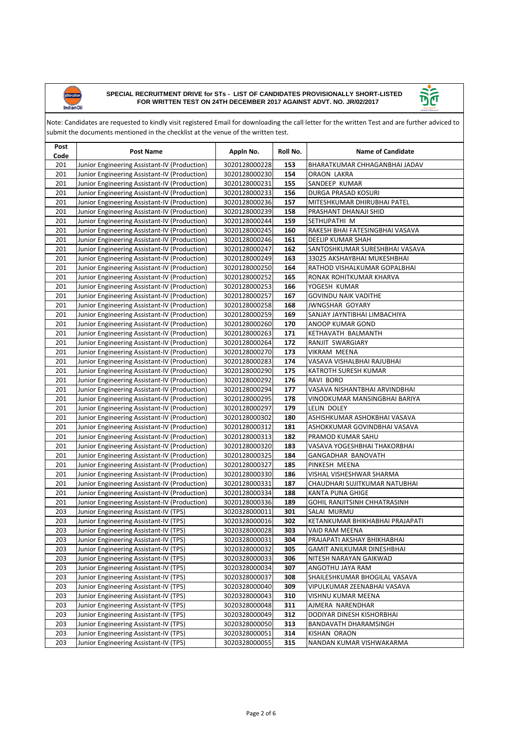



| Post<br>Code | <b>Post Name</b>                             | Appln No.     | Roll No. | <b>Name of Candidate</b>        |
|--------------|----------------------------------------------|---------------|----------|---------------------------------|
| 201          | Junior Engineering Assistant-IV (Production) | 3020128000228 | 153      | BHARATKUMAR CHHAGANBHAI JADAV   |
| 201          | Junior Engineering Assistant-IV (Production) | 3020128000230 | 154      | ORAON LAKRA                     |
| 201          | Junior Engineering Assistant-IV (Production) | 3020128000231 | 155      | SANDEEP KUMAR                   |
| 201          | Junior Engineering Assistant-IV (Production) | 3020128000233 | 156      | DURGA PRASAD KOSURI             |
| 201          | Junior Engineering Assistant-IV (Production) | 3020128000236 | 157      | MITESHKUMAR DHIRUBHAI PATEL     |
| 201          | Junior Engineering Assistant-IV (Production) | 3020128000239 | 158      | PRASHANT DHANAJI SHID           |
| 201          | Junior Engineering Assistant-IV (Production) | 3020128000244 | 159      | SETHUPATHI M                    |
| 201          | Junior Engineering Assistant-IV (Production) | 3020128000245 | 160      | RAKESH BHAI FATESINGBHAI VASAVA |
| 201          | Junior Engineering Assistant-IV (Production) | 3020128000246 | 161      | <b>DEELIP KUMAR SHAH</b>        |
| 201          | Junior Engineering Assistant-IV (Production) | 3020128000247 | 162      | SANTOSHKUMAR SURESHBHAI VASAVA  |
| 201          | Junior Engineering Assistant-IV (Production) | 3020128000249 | 163      | 33025 AKSHAYBHAI MUKESHBHAI     |
| 201          | Junior Engineering Assistant-IV (Production) | 3020128000250 | 164      | RATHOD VISHALKUMAR GOPALBHAI    |
| 201          | Junior Engineering Assistant-IV (Production) | 3020128000252 | 165      | RONAK ROHITKUMAR KHARVA         |
| 201          | Junior Engineering Assistant-IV (Production) | 3020128000253 | 166      | YOGESH KUMAR                    |
| 201          | Junior Engineering Assistant-IV (Production) | 3020128000257 | 167      | GOVINDU NAIK VADITHE            |
| 201          | Junior Engineering Assistant-IV (Production) | 3020128000258 | 168      | <b>JWNGSHAR GOYARY</b>          |
| 201          | Junior Engineering Assistant-IV (Production) | 3020128000259 | 169      | SANJAY JAYNTIBHAI LIMBACHIYA    |
| 201          | Junior Engineering Assistant-IV (Production) | 3020128000260 | 170      | ANOOP KUMAR GOND                |
| 201          | Junior Engineering Assistant-IV (Production) | 3020128000263 | 171      | KETHAVATH BALMANTH              |
| 201          | Junior Engineering Assistant-IV (Production) | 3020128000264 | 172      | RANJIT SWARGIARY                |
| 201          | Junior Engineering Assistant-IV (Production) | 3020128000270 | 173      | VIKRAM MEENA                    |
| 201          | Junior Engineering Assistant-IV (Production) | 3020128000283 | 174      | VASAVA VISHALBHAI RAJUBHAI      |
| 201          | Junior Engineering Assistant-IV (Production) | 3020128000290 | 175      | KATROTH SURESH KUMAR            |
| 201          | Junior Engineering Assistant-IV (Production) | 3020128000292 | 176      | RAVI BORO                       |
| 201          | Junior Engineering Assistant-IV (Production) | 3020128000294 | 177      | VASAVA NISHANTBHAI ARVINDBHAI   |
| 201          | Junior Engineering Assistant-IV (Production) | 3020128000295 | 178      | VINODKUMAR MANSINGBHAI BARIYA   |
| 201          | Junior Engineering Assistant-IV (Production) | 3020128000297 | 179      | LELIN DOLEY                     |
| 201          | Junior Engineering Assistant-IV (Production) | 3020128000302 | 180      | ASHISHKUMAR ASHOKBHAI VASAVA    |
| 201          | Junior Engineering Assistant-IV (Production) | 3020128000312 | 181      | ASHOKKUMAR GOVINDBHAI VASAVA    |
| 201          | Junior Engineering Assistant-IV (Production) | 3020128000313 | 182      | PRAMOD KUMAR SAHU               |
| 201          | Junior Engineering Assistant-IV (Production) | 3020128000320 | 183      | VASAVA YOGESHBHAI THAKORBHAI    |
| 201          | Junior Engineering Assistant-IV (Production) | 3020128000325 | 184      | GANGADHAR BANOVATH              |
| 201          | Junior Engineering Assistant-IV (Production) | 3020128000327 | 185      | PINKESH MEENA                   |
| 201          | Junior Engineering Assistant-IV (Production) | 3020128000330 | 186      | VISHAL VISHESHWAR SHARMA        |
| 201          | Junior Engineering Assistant-IV (Production) | 3020128000331 | 187      | CHAUDHARI SUJITKUMAR NATUBHAI   |
| 201          | Junior Engineering Assistant-IV (Production) | 3020128000334 | 188      | <b>KANTA PUNA GHIGE</b>         |
| 201          | Junior Engineering Assistant-IV (Production) | 3020128000336 | 189      | GOHIL RANJITSINH CHHATRASINH    |
| 203          | Junior Engineering Assistant-IV (TPS)        | 3020328000011 | 301      | SALAI MURMU                     |
| 203          | Junior Engineering Assistant-IV (TPS)        | 3020328000016 | 302      | KETANKUMAR BHIKHABHAI PRAJAPATI |
| 203          | Junior Engineering Assistant-IV (TPS)        | 3020328000028 | 303      | VAID RAM MEENA                  |
| 203          | Junior Engineering Assistant-IV (TPS)        | 3020328000031 | 304      | PRAJAPATI AKSHAY BHIKHABHAI     |
| 203          | Junior Engineering Assistant-IV (TPS)        | 3020328000032 | 305      | GAMIT ANILKUMAR DINESHBHAI      |
| 203          | Junior Engineering Assistant-IV (TPS)        | 3020328000033 | 306      | NITESH NARAYAN GAIKWAD          |
| 203          | Junior Engineering Assistant-IV (TPS)        | 3020328000034 | 307      | ANGOTHU JAYA RAM                |
| 203          | Junior Engineering Assistant-IV (TPS)        | 3020328000037 | 308      | SHAILESHKUMAR BHOGILAL VASAVA   |
| 203          | Junior Engineering Assistant-IV (TPS)        | 3020328000040 | 309      | VIPULKUMAR ZEENABHAI VASAVA     |
| 203          | Junior Engineering Assistant-IV (TPS)        | 3020328000043 | 310      | VISHNU KUMAR MEENA              |
| 203          | Junior Engineering Assistant-IV (TPS)        | 3020328000048 | 311      | AJMERA NARENDHAR                |
| 203          | Junior Engineering Assistant-IV (TPS)        | 3020328000049 | 312      | DODIYAR DINESH KISHORBHAI       |
| 203          | Junior Engineering Assistant-IV (TPS)        | 3020328000050 | 313      | BANDAVATH DHARAMSINGH           |
| 203          | Junior Engineering Assistant-IV (TPS)        | 3020328000051 | 314      | KISHAN ORAON                    |
| 203          | Junior Engineering Assistant-IV (TPS)        | 3020328000055 | 315      | NANDAN KUMAR VISHWAKARMA        |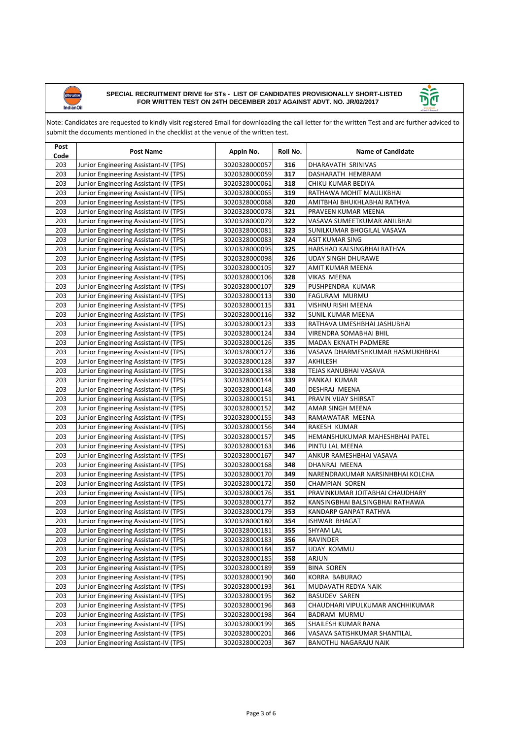



| Post<br>Code | <b>Post Name</b>                      | Appln No.     | Roll No. | <b>Name of Candidate</b>         |
|--------------|---------------------------------------|---------------|----------|----------------------------------|
| 203          | Junior Engineering Assistant-IV (TPS) | 3020328000057 | 316      | DHARAVATH SRINIVAS               |
| 203          | Junior Engineering Assistant-IV (TPS) | 3020328000059 | 317      | DASHARATH HEMBRAM                |
| 203          | Junior Engineering Assistant-IV (TPS) | 3020328000061 | 318      | CHIKU KUMAR BEDIYA               |
| 203          | Junior Engineering Assistant-IV (TPS) | 3020328000065 | 319      | RATHAWA MOHIT MAULIKBHAI         |
| 203          | Junior Engineering Assistant-IV (TPS) | 3020328000068 | 320      | AMITBHAI BHUKHLABHAI RATHVA      |
| 203          | Junior Engineering Assistant-IV (TPS) | 3020328000078 | 321      | PRAVEEN KUMAR MEENA              |
| 203          | Junior Engineering Assistant-IV (TPS) | 3020328000079 | 322      | VASAVA SUMEETKUMAR ANILBHAI      |
| 203          | Junior Engineering Assistant-IV (TPS) | 3020328000081 | 323      | SUNILKUMAR BHOGILAL VASAVA       |
| 203          | Junior Engineering Assistant-IV (TPS) | 3020328000083 | 324      | <b>ASIT KUMAR SING</b>           |
| 203          | Junior Engineering Assistant-IV (TPS) | 3020328000095 | 325      | HARSHAD KALSINGBHAI RATHVA       |
| 203          | Junior Engineering Assistant-IV (TPS) | 3020328000098 | 326      | UDAY SINGH DHURAWE               |
| 203          | Junior Engineering Assistant-IV (TPS) | 3020328000105 | 327      | AMIT KUMAR MEENA                 |
| 203          | Junior Engineering Assistant-IV (TPS) | 3020328000106 | 328      | VIKAS MEENA                      |
| 203          | Junior Engineering Assistant-IV (TPS) | 3020328000107 | 329      | PUSHPENDRA KUMAR                 |
| 203          | Junior Engineering Assistant-IV (TPS) | 3020328000113 | 330      | FAGURAM MURMU                    |
| 203          | Junior Engineering Assistant-IV (TPS) | 3020328000115 | 331      | VISHNU RISHI MEENA               |
| 203          | Junior Engineering Assistant-IV (TPS) | 3020328000116 | 332      | <b>SUNIL KUMAR MEENA</b>         |
| 203          | Junior Engineering Assistant-IV (TPS) | 3020328000123 | 333      | RATHAVA UMESHBHAI JASHUBHAI      |
| 203          | Junior Engineering Assistant-IV (TPS) | 3020328000124 | 334      | VIRENDRA SOMABHAI BHIL           |
| 203          | Junior Engineering Assistant-IV (TPS) | 3020328000126 | 335      | MADAN EKNATH PADMERE             |
| 203          | Junior Engineering Assistant-IV (TPS) | 3020328000127 | 336      | VASAVA DHARMESHKUMAR HASMUKHBHAI |
| 203          | Junior Engineering Assistant-IV (TPS) | 3020328000128 | 337      | AKHILESH                         |
| 203          | Junior Engineering Assistant-IV (TPS) | 3020328000138 | 338      | TEJAS KANUBHAI VASAVA            |
| 203          | Junior Engineering Assistant-IV (TPS) | 3020328000144 | 339      | PANKAJ KUMAR                     |
| 203          | Junior Engineering Assistant-IV (TPS) | 3020328000148 | 340      | DESHRAJ MEENA                    |
| 203          | Junior Engineering Assistant-IV (TPS) | 3020328000151 | 341      | PRAVIN VIJAY SHIRSAT             |
| 203          | Junior Engineering Assistant-IV (TPS) | 3020328000152 | 342      | AMAR SINGH MEENA                 |
| 203          | Junior Engineering Assistant-IV (TPS) | 3020328000155 | 343      | RAMAWATAR MEENA                  |
| 203          | Junior Engineering Assistant-IV (TPS) | 3020328000156 | 344      | RAKESH KUMAR                     |
| 203          | Junior Engineering Assistant-IV (TPS) | 3020328000157 | 345      | HEMANSHUKUMAR MAHESHBHAI PATEL   |
| 203          | Junior Engineering Assistant-IV (TPS) | 3020328000163 | 346      | PINTU LAL MEENA                  |
| 203          | Junior Engineering Assistant-IV (TPS) | 3020328000167 | 347      | ANKUR RAMESHBHAI VASAVA          |
| 203          | Junior Engineering Assistant-IV (TPS) | 3020328000168 | 348      | DHANRAJ MEENA                    |
| 203          | Junior Engineering Assistant-IV (TPS) | 3020328000170 | 349      | NARENDRAKUMAR NARSINHBHAI KOLCHA |
| 203          | Junior Engineering Assistant-IV (TPS) | 3020328000172 | 350      | CHAMPIAN SOREN                   |
| 203          | Junior Engineering Assistant-IV (TPS) | 3020328000176 | 351      | PRAVINKUMAR JOITABHAI CHAUDHARY  |
| 203          | Junior Engineering Assistant-IV (TPS) | 3020328000177 | 352      | KANSINGBHAI BALSINGBHAI RATHAWA  |
| 203          | Junior Engineering Assistant-IV (TPS) | 3020328000179 | 353      | KANDARP GANPAT RATHVA            |
| 203          | Junior Engineering Assistant-IV (TPS) | 3020328000180 | 354      | ISHWAR BHAGAT                    |
| 203          | Junior Engineering Assistant-IV (TPS) | 3020328000181 | 355      | <b>SHYAM LAL</b>                 |
| 203          | Junior Engineering Assistant-IV (TPS) | 3020328000183 | 356      | RAVINDER                         |
| 203          | Junior Engineering Assistant-IV (TPS) | 3020328000184 | 357      | UDAY KOMMU                       |
| 203          | Junior Engineering Assistant-IV (TPS) | 3020328000185 | 358      | ARJUN                            |
| 203          | Junior Engineering Assistant-IV (TPS) | 3020328000189 | 359      | <b>BINA SOREN</b>                |
| 203          | Junior Engineering Assistant-IV (TPS) | 3020328000190 | 360      | KORRA BABURAO                    |
| 203          | Junior Engineering Assistant-IV (TPS) | 3020328000193 | 361      | MUDAVATH REDYA NAIK              |
| 203          | Junior Engineering Assistant-IV (TPS) | 3020328000195 | 362      | <b>BASUDEV SAREN</b>             |
| 203          | Junior Engineering Assistant-IV (TPS) | 3020328000196 | 363      | CHAUDHARI VIPULKUMAR ANCHHIKUMAR |
| 203          | Junior Engineering Assistant-IV (TPS) | 3020328000198 | 364      | <b>BADRAM MURMU</b>              |
| 203          | Junior Engineering Assistant-IV (TPS) | 3020328000199 | 365      | SHAILESH KUMAR RANA              |
| 203          | Junior Engineering Assistant-IV (TPS) | 3020328000201 | 366      | VASAVA SATISHKUMAR SHANTILAL     |
| 203          | Junior Engineering Assistant-IV (TPS) | 3020328000203 | 367      | BANOTHU NAGARAJU NAIK            |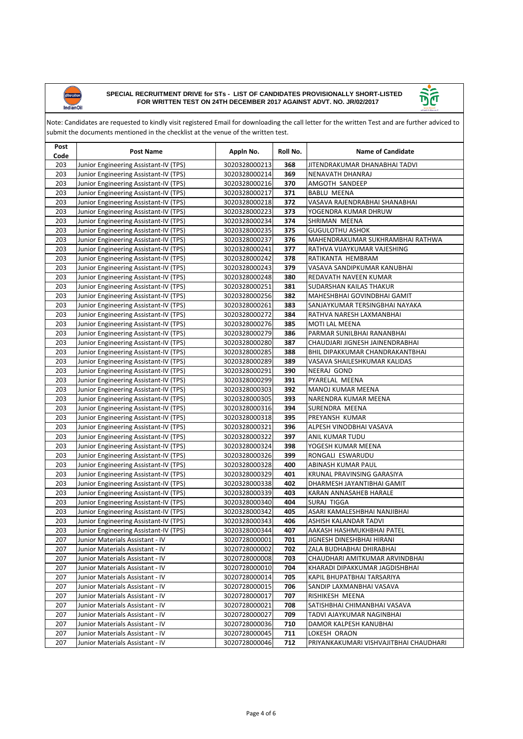



| Post<br>Code | <b>Post Name</b>                      | Appln No.     | Roll No. | <b>Name of Candidate</b>               |
|--------------|---------------------------------------|---------------|----------|----------------------------------------|
| 203          | Junior Engineering Assistant-IV (TPS) | 3020328000213 | 368      | JITENDRAKUMAR DHANABHAI TADVI          |
| 203          | Junior Engineering Assistant-IV (TPS) | 3020328000214 | 369      | NENAVATH DHANRAJ                       |
| 203          | Junior Engineering Assistant-IV (TPS) | 3020328000216 | 370      | AMGOTH SANDEEP                         |
| 203          | Junior Engineering Assistant-IV (TPS) | 3020328000217 | 371      | <b>BABLU MEENA</b>                     |
| 203          | Junior Engineering Assistant-IV (TPS) | 3020328000218 | 372      | VASAVA RAJENDRABHAI SHANABHAI          |
| 203          | Junior Engineering Assistant-IV (TPS) | 3020328000223 | 373      | YOGENDRA KUMAR DHRUW                   |
| 203          | Junior Engineering Assistant-IV (TPS) | 3020328000234 | 374      | SHRIMAN MEENA                          |
| 203          | Junior Engineering Assistant-IV (TPS) | 3020328000235 | 375      | <b>GUGULOTHU ASHOK</b>                 |
| 203          | Junior Engineering Assistant-IV (TPS) | 3020328000237 | 376      | MAHENDRAKUMAR SUKHRAMBHAI RATHWA       |
| 203          | Junior Engineering Assistant-IV (TPS) | 3020328000241 | 377      | RATHVA VIJAYKUMAR VAJESHING            |
| 203          | Junior Engineering Assistant-IV (TPS) | 3020328000242 | 378      | RATIKANTA HEMBRAM                      |
| 203          | Junior Engineering Assistant-IV (TPS) | 3020328000243 | 379      | VASAVA SANDIPKUMAR KANUBHAI            |
| 203          | Junior Engineering Assistant-IV (TPS) | 3020328000248 | 380      | REDAVATH NAVEEN KUMAR                  |
| 203          | Junior Engineering Assistant-IV (TPS) | 3020328000251 | 381      | SUDARSHAN KAILAS THAKUR                |
| 203          | Junior Engineering Assistant-IV (TPS) | 3020328000256 | 382      | MAHESHBHAI GOVINDBHAI GAMIT            |
| 203          | Junior Engineering Assistant-IV (TPS) | 3020328000261 | 383      | SANJAYKUMAR TERSINGBHAI NAYAKA         |
| 203          | Junior Engineering Assistant-IV (TPS) | 3020328000272 | 384      | RATHVA NARESH LAXMANBHAI               |
| 203          | Junior Engineering Assistant-IV (TPS) | 3020328000276 | 385      | <b>MOTI LAL MEENA</b>                  |
| 203          | Junior Engineering Assistant-IV (TPS) | 3020328000279 | 386      | PARMAR SUNILBHAI RANANBHAI             |
| 203          | Junior Engineering Assistant-IV (TPS) | 3020328000280 | 387      | CHAUDJARI JIGNESH JAINENDRABHAI        |
| 203          | Junior Engineering Assistant-IV (TPS) | 3020328000285 | 388      | BHIL DIPAKKUMAR CHANDRAKANTBHAI        |
| 203          | Junior Engineering Assistant-IV (TPS) | 3020328000289 | 389      | VASAVA SHAILESHKUMAR KALIDAS           |
| 203          | Junior Engineering Assistant-IV (TPS) | 3020328000291 | 390      | NEERAJ GOND                            |
| 203          | Junior Engineering Assistant-IV (TPS) | 3020328000299 | 391      | PYARELAL MEENA                         |
| 203          | Junior Engineering Assistant-IV (TPS) | 3020328000303 | 392      | MANOJ KUMAR MEENA                      |
| 203          | Junior Engineering Assistant-IV (TPS) | 3020328000305 | 393      | NARENDRA KUMAR MEENA                   |
| 203          | Junior Engineering Assistant-IV (TPS) | 3020328000316 | 394      | SURENDRA MEENA                         |
| 203          | Junior Engineering Assistant-IV (TPS) | 3020328000318 | 395      | PREYANSH KUMAR                         |
| 203          | Junior Engineering Assistant-IV (TPS) | 3020328000321 | 396      | ALPESH VINODBHAI VASAVA                |
| 203          | Junior Engineering Assistant-IV (TPS) | 3020328000322 | 397      | ANIL KUMAR TUDU                        |
| 203          | Junior Engineering Assistant-IV (TPS) | 3020328000324 | 398      | YOGESH KUMAR MEENA                     |
| 203          | Junior Engineering Assistant-IV (TPS) | 3020328000326 | 399      | RONGALI ESWARUDU                       |
| 203          | Junior Engineering Assistant-IV (TPS) | 3020328000328 | 400      | ABINASH KUMAR PAUL                     |
| 203          | Junior Engineering Assistant-IV (TPS) | 3020328000329 | 401      | KRUNAL PRAVINSING GARASIYA             |
| 203          | Junior Engineering Assistant-IV (TPS) | 3020328000338 | 402      | DHARMESH JAYANTIBHAI GAMIT             |
| 203          | Junior Engineering Assistant-IV (TPS) | 3020328000339 | 403      | KARAN ANNASAHEB HARALE                 |
| 203          | Junior Engineering Assistant-IV (TPS) | 3020328000340 | 404      | SURAJ TIGGA                            |
| 203          | Junior Engineering Assistant-IV (TPS) | 3020328000342 | 405      | ASARI KAMALESHBHAI NANJIBHAI           |
| 203          | Junior Engineering Assistant-IV (TPS) | 3020328000343 | 406      | ASHISH KALANDAR TADVI                  |
| 203          | Junior Engineering Assistant-IV (TPS) | 3020328000344 | 407      | AAKASH HASHMUKHBHAI PATEL              |
| 207          | Junior Materials Assistant - IV       | 3020728000001 | 701      | JIGNESH DINESHBHAI HIRANI              |
| 207          | Junior Materials Assistant - IV       | 3020728000002 | 702      | ZALA BUDHABHAI DHIRABHAI               |
| 207          | Junior Materials Assistant - IV       | 3020728000008 | 703      | CHAUDHARI AMITKUMAR ARVINDBHAI         |
| 207          | Junior Materials Assistant - IV       | 3020728000010 | 704      | KHARADI DIPAKKUMAR JAGDISHBHAI         |
| 207          | Junior Materials Assistant - IV       | 3020728000014 | 705      | KAPIL BHUPATBHAI TARSARIYA             |
| 207          | Junior Materials Assistant - IV       | 3020728000015 | 706      | SANDIP LAXMANBHAI VASAVA               |
| 207          | Junior Materials Assistant - IV       | 3020728000017 | 707      | RISHIKESH MEENA                        |
| 207          | Junior Materials Assistant - IV       | 3020728000021 | 708      | SATISHBHAI CHIMANBHAI VASAVA           |
| 207          | Junior Materials Assistant - IV       | 3020728000027 | 709      | TADVI AJAYKUMAR NAGINBHAI              |
| 207          | Junior Materials Assistant - IV       | 3020728000036 | 710      | DAMOR KALPESH KANUBHAI                 |
| 207          | Junior Materials Assistant - IV       | 3020728000045 | 711      | LOKESH ORAON                           |
| 207          | Junior Materials Assistant - IV       | 3020728000046 | 712      | PRIYANKAKUMARI VISHVAJITBHAI CHAUDHARI |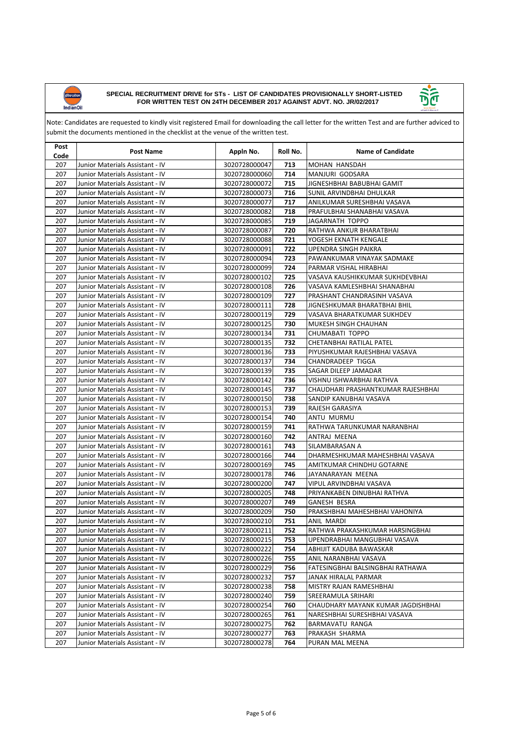



| Post<br>Code | <b>Post Name</b>                | Appln No.     | Roll No. | <b>Name of Candidate</b>           |
|--------------|---------------------------------|---------------|----------|------------------------------------|
| 207          | Junior Materials Assistant - IV | 3020728000047 | 713      | MOHAN HANSDAH                      |
| 207          | Junior Materials Assistant - IV | 3020728000060 | 714      | MANJURI GODSARA                    |
| 207          | Junior Materials Assistant - IV | 3020728000072 | 715      | JIGNESHBHAI BABUBHAI GAMIT         |
| 207          | Junior Materials Assistant - IV | 3020728000073 | 716      | SUNIL ARVINDBHAI DHULKAR           |
| 207          | Junior Materials Assistant - IV | 3020728000077 | 717      | ANILKUMAR SURESHBHAI VASAVA        |
| 207          | Junior Materials Assistant - IV | 3020728000082 | 718      | PRAFULBHAI SHANABHAI VASAVA        |
| 207          | Junior Materials Assistant - IV | 3020728000085 | 719      | JAGARNATH TOPPO                    |
| 207          | Junior Materials Assistant - IV | 3020728000087 | 720      | RATHWA ANKUR BHARATBHAI            |
| 207          | Junior Materials Assistant - IV | 3020728000088 | 721      | YOGESH EKNATH KENGALE              |
| 207          | Junior Materials Assistant - IV | 3020728000091 | 722      | <b>UPENDRA SINGH PAIKRA</b>        |
| 207          | Junior Materials Assistant - IV | 3020728000094 | 723      | PAWANKUMAR VINAYAK SADMAKE         |
| 207          | Junior Materials Assistant - IV | 3020728000099 | 724      | PARMAR VISHAL HIRABHAI             |
| 207          | Junior Materials Assistant - IV | 3020728000102 | 725      | VASAVA KAUSHIKKUMAR SUKHDEVBHAI    |
| 207          | Junior Materials Assistant - IV | 3020728000108 | 726      | VASAVA KAMLESHBHAI SHANABHAI       |
| 207          | Junior Materials Assistant - IV | 3020728000109 | 727      | PRASHANT CHANDRASINH VASAVA        |
| 207          | Junior Materials Assistant - IV | 3020728000111 | 728      | JIGNESHKUMAR BHARATBHAI BHIL       |
| 207          | Junior Materials Assistant - IV | 3020728000119 | 729      | VASAVA BHARATKUMAR SUKHDEV         |
| 207          | Junior Materials Assistant - IV | 3020728000125 | 730      | MUKESH SINGH CHAUHAN               |
| 207          | Junior Materials Assistant - IV | 3020728000134 | 731      | CHUMABATI TOPPO                    |
| 207          | Junior Materials Assistant - IV | 3020728000135 | 732      | CHETANBHAI RATILAL PATEL           |
| 207          | Junior Materials Assistant - IV | 3020728000136 | 733      | PIYUSHKUMAR RAJESHBHAI VASAVA      |
| 207          | Junior Materials Assistant - IV | 3020728000137 | 734      | CHANDRADEEP TIGGA                  |
| 207          | Junior Materials Assistant - IV | 3020728000139 | 735      | SAGAR DILEEP JAMADAR               |
| 207          | Junior Materials Assistant - IV | 3020728000142 | 736      | VISHNU ISHWARBHAI RATHVA           |
| 207          | Junior Materials Assistant - IV | 3020728000145 | 737      | CHAUDHARI PRASHANTKUMAR RAJESHBHAI |
| 207          | Junior Materials Assistant - IV | 3020728000150 | 738      | SANDIP KANUBHAI VASAVA             |
| 207          | Junior Materials Assistant - IV | 3020728000153 | 739      | RAJESH GARASIYA                    |
| 207          | Junior Materials Assistant - IV | 3020728000154 | 740      | ANTU MURMU                         |
| 207          | Junior Materials Assistant - IV | 3020728000159 | 741      | RATHWA TARUNKUMAR NARANBHAI        |
| 207          | Junior Materials Assistant - IV | 3020728000160 | 742      | ANTRAJ MEENA                       |
| 207          | Junior Materials Assistant - IV | 3020728000161 | 743      | SILAMBARASAN A                     |
| 207          | Junior Materials Assistant - IV | 3020728000166 | 744      | DHARMESHKUMAR MAHESHBHAI VASAVA    |
| 207          | Junior Materials Assistant - IV | 3020728000169 | 745      | AMITKUMAR CHINDHU GOTARNE          |
| 207          | Junior Materials Assistant - IV | 3020728000178 | 746      | JAYANARAYAN MEENA                  |
| 207          | Junior Materials Assistant - IV | 3020728000200 | 747      | VIPUL ARVINDBHAI VASAVA            |
| 207          | Junior Materials Assistant - IV | 3020728000205 | 748      | PRIYANKABEN DINUBHAI RATHVA        |
| 207          | Junior Materials Assistant - IV | 3020728000207 | 749      | <b>GANESH BESRA</b>                |
| 207          | Junior Materials Assistant - IV | 3020728000209 | 750      | PRAKSHBHAI MAHESHBHAI VAHONIYA     |
| 207          | Junior Materials Assistant - IV | 3020728000210 | 751      | ANIL MARDI                         |
| 207          | Junior Materials Assistant - IV | 3020728000211 | 752      | RATHWA PRAKASHKUMAR HARSINGBHAI    |
| 207          | Junior Materials Assistant - IV | 3020728000215 | 753      | UPENDRABHAI MANGUBHAI VASAVA       |
| 207          | Junior Materials Assistant - IV | 3020728000222 | 754      | ABHIJIT KADUBA BAWASKAR            |
| 207          | Junior Materials Assistant - IV | 3020728000226 | 755      | ANIL NARANBHAI VASAVA              |
| 207          | Junior Materials Assistant - IV | 3020728000229 | 756      | FATESINGBHAI BALSINGBHAI RATHAWA   |
| 207          | Junior Materials Assistant - IV | 3020728000232 | 757      | JANAK HIRALAL PARMAR               |
| 207          | Junior Materials Assistant - IV | 3020728000238 | 758      | MISTRY RAJAN RAMESHBHAI            |
| 207          | Junior Materials Assistant - IV | 3020728000240 | 759      | SREERAMULA SRIHARI                 |
| 207          | Junior Materials Assistant - IV | 3020728000254 | 760      | CHAUDHARY MAYANK KUMAR JAGDISHBHAI |
| 207          | Junior Materials Assistant - IV | 3020728000265 | 761      | NARESHBHAI SURESHBHAI VASAVA       |
| 207          | Junior Materials Assistant - IV | 3020728000275 | 762      | BARMAVATU RANGA                    |
| 207          | Junior Materials Assistant - IV | 3020728000277 | 763      | PRAKASH SHARMA                     |
| 207          | Junior Materials Assistant - IV | 3020728000278 | 764      | PURAN MAL MEENA                    |